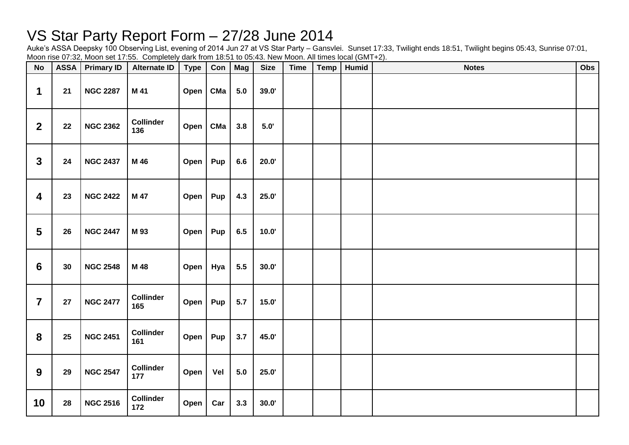## VS Star Party Report Form – 27/28 June 2014

Auke's ASSA Deepsky 100 Observing List, evening of 2014 Jun 27 at VS Star Party – Gansvlei. Sunset 17:33, Twilight ends 18:51, Twilight begins 05:43, Sunrise 07:01, Moon rise 07:32, Moon set 17:55. Completely dark from 18:51 to 05:43. New Moon. All times local (GMT+2).

| No               | <b>ASSA</b> | <b>Primary ID</b> | <b>Alternate ID</b>     | <b>Type</b> | Con        | Mag   | <b>Size</b> | <b>Time</b> | <b>Temp</b> | <b>Humid</b> | <b>Notes</b> | Obs |
|------------------|-------------|-------------------|-------------------------|-------------|------------|-------|-------------|-------------|-------------|--------------|--------------|-----|
| 1                | 21          | <b>NGC 2287</b>   | M 41                    | Open        | <b>CMa</b> | $5.0$ | 39.0'       |             |             |              |              |     |
| $\boldsymbol{2}$ | 22          | <b>NGC 2362</b>   | <b>Collinder</b><br>136 | Open        | CMa        | 3.8   | $5.0^\circ$ |             |             |              |              |     |
| $\mathbf 3$      | 24          | <b>NGC 2437</b>   | M 46                    | Open        | Pup        | 6.6   | 20.0"       |             |             |              |              |     |
| 4                | 23          | <b>NGC 2422</b>   | M 47                    | Open        | Pup        | 4.3   | 25.0'       |             |             |              |              |     |
| $5\phantom{1}$   | 26          | <b>NGC 2447</b>   | M 93                    | Open        | Pup        | 6.5   | 10.0"       |             |             |              |              |     |
| $6\phantom{1}6$  | 30          | <b>NGC 2548</b>   | M 48                    | Open        | Hya        | 5.5   | 30.0'       |             |             |              |              |     |
| $\overline{7}$   | 27          | <b>NGC 2477</b>   | <b>Collinder</b><br>165 | Open        | Pup        | 5.7   | 15.0'       |             |             |              |              |     |
| 8                | 25          | <b>NGC 2451</b>   | <b>Collinder</b><br>161 | Open        | Pup        | 3.7   | 45.0'       |             |             |              |              |     |
| 9                | 29          | <b>NGC 2547</b>   | <b>Collinder</b><br>177 | <b>Open</b> | Vel        | 5.0   | 25.0'       |             |             |              |              |     |
| 10               | 28          | <b>NGC 2516</b>   | <b>Collinder</b><br>172 | Open        | Car        | 3.3   | 30.0'       |             |             |              |              |     |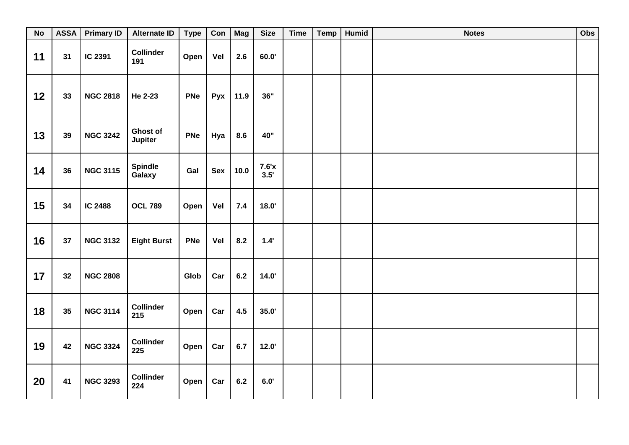| <b>No</b> | <b>ASSA</b> | <b>Primary ID</b> | <b>Alternate ID</b>      | <b>Type</b> | Con        | Mag  | <b>Size</b>   | <b>Time</b> | Temp | <b>Humid</b> | <b>Notes</b> | Obs |
|-----------|-------------|-------------------|--------------------------|-------------|------------|------|---------------|-------------|------|--------------|--------------|-----|
| 11        | 31          | IC 2391           | <b>Collinder</b><br>191  | Open        | Vel        | 2.6  | 60.0'         |             |      |              |              |     |
| 12        | 33          | <b>NGC 2818</b>   | He 2-23                  | <b>PNe</b>  | <b>Pyx</b> | 11.9 | 36"           |             |      |              |              |     |
| 13        | 39          | <b>NGC 3242</b>   | Ghost of<br>Jupiter      | <b>PNe</b>  | Hya        | 8.6  | 40"           |             |      |              |              |     |
| 14        | 36          | <b>NGC 3115</b>   | <b>Spindle</b><br>Galaxy | Gal         | <b>Sex</b> | 10.0 | 7.6'x<br>3.5' |             |      |              |              |     |
| 15        | 34          | <b>IC 2488</b>    | <b>OCL 789</b>           | Open        | Vel        | 7.4  | 18.0'         |             |      |              |              |     |
| 16        | 37          | <b>NGC 3132</b>   | <b>Eight Burst</b>       | <b>PNe</b>  | Vel        | 8.2  | 1.4'          |             |      |              |              |     |
| 17        | 32          | <b>NGC 2808</b>   |                          | Glob        | Car        | 6.2  | 14.0'         |             |      |              |              |     |
| 18        | 35          | <b>NGC 3114</b>   | <b>Collinder</b><br>215  | Open        | Car        | 4.5  | 35.0'         |             |      |              |              |     |
| 19        | 42          | <b>NGC 3324</b>   | <b>Collinder</b><br>225  | Open        | Car        | 6.7  | 12.0'         |             |      |              |              |     |
| 20        | 41          | <b>NGC 3293</b>   | <b>Collinder</b><br>224  | Open        | Car        | 6.2  | 6.0"          |             |      |              |              |     |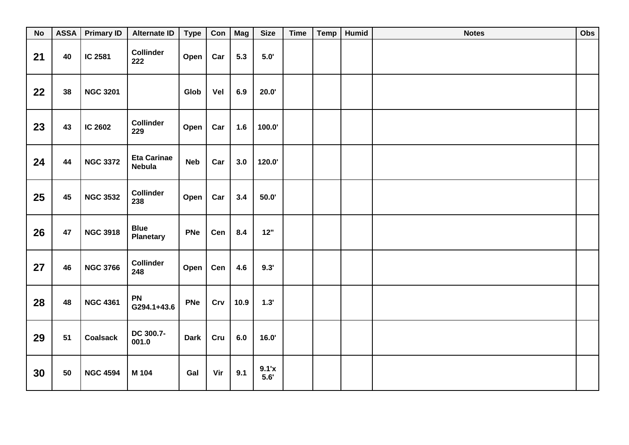| <b>No</b> | <b>ASSA</b> | <b>Primary ID</b> | <b>Alternate ID</b>                 | <b>Type</b> | Con | Mag  | <b>Size</b>   | <b>Time</b> | <b>Temp</b> | <b>Humid</b> | <b>Notes</b> | Obs |
|-----------|-------------|-------------------|-------------------------------------|-------------|-----|------|---------------|-------------|-------------|--------------|--------------|-----|
| 21        | 40          | IC 2581           | <b>Collinder</b><br>222             | Open        | Car | 5.3  | 5.0'          |             |             |              |              |     |
| 22        | 38          | <b>NGC 3201</b>   |                                     | Glob        | Vel | 6.9  | 20.0"         |             |             |              |              |     |
| 23        | 43          | IC 2602           | <b>Collinder</b><br>229             | Open        | Car | 1.6  | 100.0'        |             |             |              |              |     |
| 24        | 44          | <b>NGC 3372</b>   | <b>Eta Carinae</b><br><b>Nebula</b> | <b>Neb</b>  | Car | 3.0  | 120.0'        |             |             |              |              |     |
| 25        | 45          | <b>NGC 3532</b>   | Collinder<br>238                    | Open        | Car | 3.4  | 50.0'         |             |             |              |              |     |
| 26        | 47          | <b>NGC 3918</b>   | <b>Blue</b><br><b>Planetary</b>     | <b>PNe</b>  | Cen | 8.4  | 12"           |             |             |              |              |     |
| 27        | 46          | <b>NGC 3766</b>   | <b>Collinder</b><br>248             | Open        | Cen | 4.6  | 9.3'          |             |             |              |              |     |
| 28        | 48          | <b>NGC 4361</b>   | <b>PN</b><br>G294.1+43.6            | <b>PNe</b>  | Crv | 10.9 | 1.3'          |             |             |              |              |     |
| 29        | 51          | <b>Coalsack</b>   | DC 300.7-<br>001.0                  | <b>Dark</b> | Cru | 6.0  | 16.0'         |             |             |              |              |     |
| 30        | 50          | <b>NGC 4594</b>   | M 104                               | Gal         | Vir | 9.1  | 9.1'x<br>5.6' |             |             |              |              |     |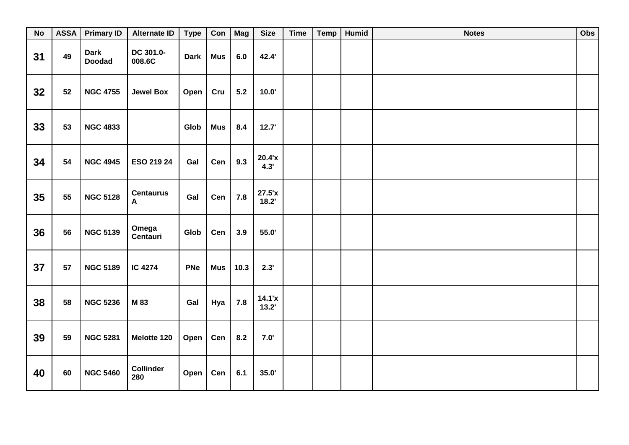| <b>No</b> | <b>ASSA</b> | <b>Primary ID</b>            | <b>Alternate ID</b>     | <b>Type</b> | Con        | Mag  | <b>Size</b>     | <b>Time</b> | <b>Temp</b> | <b>Humid</b> | <b>Notes</b> | Obs |
|-----------|-------------|------------------------------|-------------------------|-------------|------------|------|-----------------|-------------|-------------|--------------|--------------|-----|
| 31        | 49          | <b>Dark</b><br><b>Doodad</b> | DC 301.0-<br>008.6C     | <b>Dark</b> | <b>Mus</b> | 6.0  | 42.4'           |             |             |              |              |     |
| 32        | 52          | <b>NGC 4755</b>              | <b>Jewel Box</b>        | Open        | Cru        | 5.2  | 10.0"           |             |             |              |              |     |
| 33        | 53          | <b>NGC 4833</b>              |                         | Glob        | <b>Mus</b> | 8.4  | 12.7'           |             |             |              |              |     |
| 34        | 54          | <b>NGC 4945</b>              | ESO 219 24              | Gal         | Cen        | 9.3  | 20.4'x<br>4.3'  |             |             |              |              |     |
| 35        | 55          | <b>NGC 5128</b>              | <b>Centaurus</b><br>A   | Gal         | Cen        | 7.8  | 27.5'x<br>18.2' |             |             |              |              |     |
| 36        | 56          | <b>NGC 5139</b>              | Omega<br>Centauri       | Glob        | Cen        | 3.9  | 55.0'           |             |             |              |              |     |
| 37        | 57          | <b>NGC 5189</b>              | IC 4274                 | <b>PNe</b>  | <b>Mus</b> | 10.3 | 2.3'            |             |             |              |              |     |
| 38        | 58          | <b>NGC 5236</b>              | M 83                    | Gal         | Hya        | 7.8  | 14.1'x<br>13.2' |             |             |              |              |     |
| 39        | 59          | <b>NGC 5281</b>              | Melotte 120             | Open        | Cen        | 8.2  | 7.0'            |             |             |              |              |     |
| 40        | 60          | <b>NGC 5460</b>              | <b>Collinder</b><br>280 | Open        | Cen        | 6.1  | 35.0'           |             |             |              |              |     |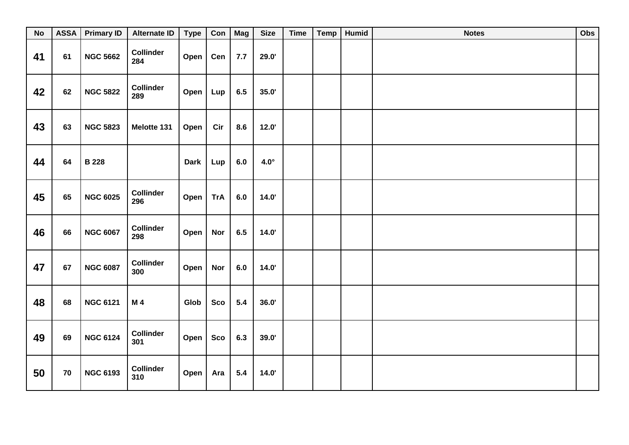| <b>No</b> | <b>ASSA</b> | <b>Primary ID</b> | <b>Alternate ID</b>     | <b>Type</b> | Con        | <b>Mag</b> | <b>Size</b> | <b>Time</b> | <b>Temp</b> | <b>Humid</b> | <b>Notes</b> | Obs |
|-----------|-------------|-------------------|-------------------------|-------------|------------|------------|-------------|-------------|-------------|--------------|--------------|-----|
| 41        | 61          | <b>NGC 5662</b>   | <b>Collinder</b><br>284 | Open        | Cen        | 7.7        | 29.0'       |             |             |              |              |     |
| 42        | 62          | <b>NGC 5822</b>   | <b>Collinder</b><br>289 | Open        | Lup        | 6.5        | 35.0'       |             |             |              |              |     |
| 43        | 63          | <b>NGC 5823</b>   | Melotte 131             | Open        | Cir        | 8.6        | 12.0'       |             |             |              |              |     |
| 44        | 64          | <b>B</b> 228      |                         | <b>Dark</b> | Lup        | $6.0\,$    | $4.0^\circ$ |             |             |              |              |     |
| 45        | 65          | <b>NGC 6025</b>   | <b>Collinder</b><br>296 | Open        | <b>TrA</b> | $6.0\,$    | 14.0'       |             |             |              |              |     |
| 46        | 66          | <b>NGC 6067</b>   | <b>Collinder</b><br>298 | Open        | <b>Nor</b> | 6.5        | 14.0'       |             |             |              |              |     |
| 47        | 67          | <b>NGC 6087</b>   | <b>Collinder</b><br>300 | Open        | <b>Nor</b> | 6.0        | 14.0'       |             |             |              |              |     |
| 48        | 68          | <b>NGC 6121</b>   | M 4                     | Glob        | Sco        | 5.4        | 36.0'       |             |             |              |              |     |
| 49        | 69          | <b>NGC 6124</b>   | <b>Collinder</b><br>301 | Open        | <b>Sco</b> | 6.3        | 39.0'       |             |             |              |              |     |
| 50        | 70          | <b>NGC 6193</b>   | <b>Collinder</b><br>310 | Open        | Ara        | 5.4        | 14.0'       |             |             |              |              |     |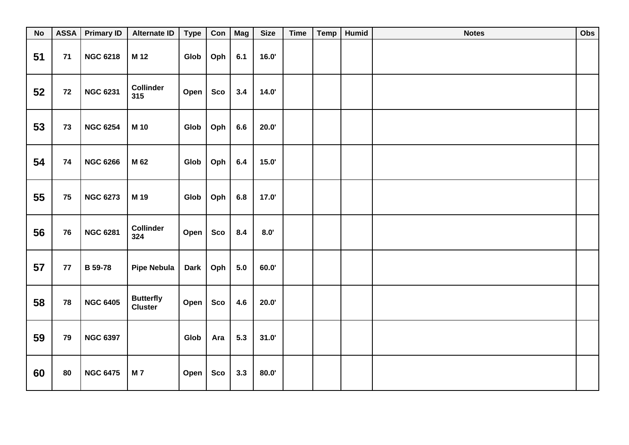| <b>No</b> | <b>ASSA</b> | <b>Primary ID</b> | <b>Alternate ID</b>                | <b>Type</b> | Con | <b>Mag</b> | <b>Size</b> | <b>Time</b> | <b>Temp</b> | Humid | <b>Notes</b> | Obs |
|-----------|-------------|-------------------|------------------------------------|-------------|-----|------------|-------------|-------------|-------------|-------|--------------|-----|
| 51        | 71          | <b>NGC 6218</b>   | M 12                               | Glob        | Oph | 6.1        | 16.0'       |             |             |       |              |     |
| 52        | 72          | <b>NGC 6231</b>   | <b>Collinder</b><br>315            | Open        | Sco | 3.4        | 14.0'       |             |             |       |              |     |
| 53        | 73          | <b>NGC 6254</b>   | M 10                               | Glob        | Oph | 6.6        | 20.0"       |             |             |       |              |     |
| 54        | 74          | <b>NGC 6266</b>   | M 62                               | Glob        | Oph | 6.4        | 15.0'       |             |             |       |              |     |
| 55        | 75          | <b>NGC 6273</b>   | M 19                               | Glob        | Oph | 6.8        | 17.0'       |             |             |       |              |     |
| 56        | 76          | <b>NGC 6281</b>   | <b>Collinder</b><br>324            | Open Sco    |     | 8.4        | 8.0"        |             |             |       |              |     |
| 57        | 77          | <b>B</b> 59-78    | <b>Pipe Nebula</b>                 | <b>Dark</b> | Oph | 5.0        | 60.0"       |             |             |       |              |     |
| 58        | 78          | <b>NGC 6405</b>   | <b>Butterfly</b><br><b>Cluster</b> | Open        | Sco | 4.6        | 20.0"       |             |             |       |              |     |
| 59        | 79          | <b>NGC 6397</b>   |                                    | Glob        | Ara | 5.3        | 31.0'       |             |             |       |              |     |
| 60        | 80          | <b>NGC 6475</b>   | <b>M7</b>                          | Open        | Sco | 3.3        | 80.0'       |             |             |       |              |     |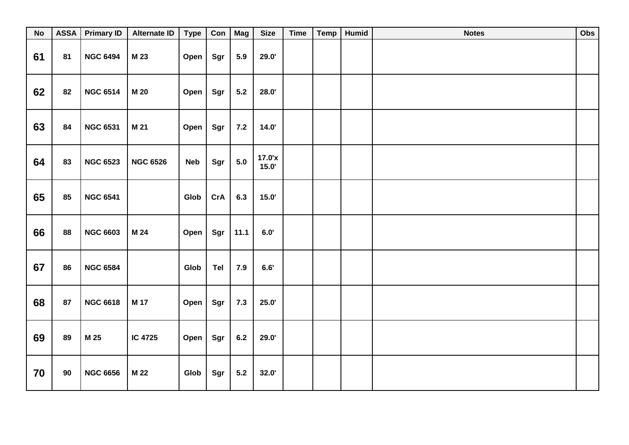| <b>No</b> | <b>ASSA</b> | <b>Primary ID</b> | <b>Alternate ID</b> | <b>Type</b> | Con        | <b>Mag</b> | <b>Size</b>     | <b>Time</b> | <b>Temp</b> | <b>Humid</b> | <b>Notes</b> | Obs |
|-----------|-------------|-------------------|---------------------|-------------|------------|------------|-----------------|-------------|-------------|--------------|--------------|-----|
| 61        | 81          | <b>NGC 6494</b>   | M 23                | Open        | Sgr        | 5.9        | 29.0'           |             |             |              |              |     |
| 62        | 82          | <b>NGC 6514</b>   | M 20                | Open        | Sgr        | $5.2$      | 28.0'           |             |             |              |              |     |
| 63        | 84          | <b>NGC 6531</b>   | M 21                | Open        | Sgr        | 7.2        | 14.0'           |             |             |              |              |     |
| 64        | 83          | <b>NGC 6523</b>   | <b>NGC 6526</b>     | <b>Neb</b>  | Sgr        | $5.0$      | 17.0'x<br>15.0' |             |             |              |              |     |
| 65        | 85          | <b>NGC 6541</b>   |                     | Glob        | <b>CrA</b> | 6.3        | 15.0'           |             |             |              |              |     |
| 66        | 88          | <b>NGC 6603</b>   | M 24                | Open        | Sgr        | 11.1       | 6.0"            |             |             |              |              |     |
| 67        | 86          | <b>NGC 6584</b>   |                     | Glob        | <b>Tel</b> | 7.9        | 6.6'            |             |             |              |              |     |
| 68        | 87          | <b>NGC 6618</b>   | M 17                | Open        | Sgr        | 7.3        | 25.0'           |             |             |              |              |     |
| 69        | 89          | M 25              | IC 4725             | Open        | Sgr        | 6.2        | 29.0'           |             |             |              |              |     |
| 70        | 90          | <b>NGC 6656</b>   | M 22                | Glob        | Sgr        | $5.2$      | 32.0'           |             |             |              |              |     |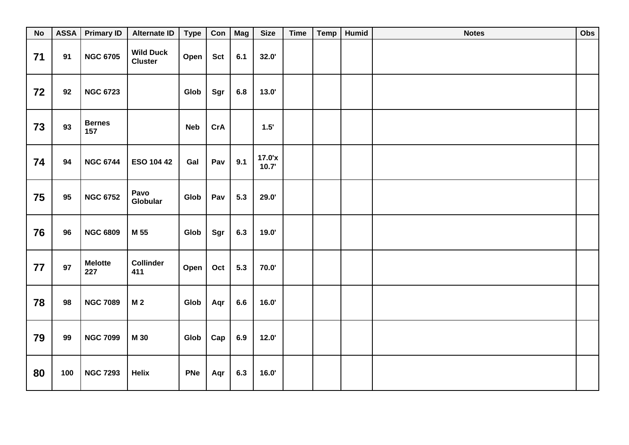| <b>No</b> | <b>ASSA</b> | <b>Primary ID</b>     | <b>Alternate ID</b>                | <b>Type</b> | Con        | <b>Mag</b> | <b>Size</b>     | <b>Time</b> | Temp | <b>Humid</b> | <b>Notes</b> | Obs |
|-----------|-------------|-----------------------|------------------------------------|-------------|------------|------------|-----------------|-------------|------|--------------|--------------|-----|
| 71        | 91          | <b>NGC 6705</b>       | <b>Wild Duck</b><br><b>Cluster</b> | Open        | <b>Sct</b> | 6.1        | 32.0'           |             |      |              |              |     |
| 72        | 92          | <b>NGC 6723</b>       |                                    | Glob        | Sgr        | 6.8        | 13.0'           |             |      |              |              |     |
| 73        | 93          | <b>Bernes</b><br>157  |                                    | <b>Neb</b>  | CrA        |            | 1.5'            |             |      |              |              |     |
| 74        | 94          | <b>NGC 6744</b>       | ESO 104 42                         | Gal         | Pav        | 9.1        | 17.0'x<br>10.7' |             |      |              |              |     |
| 75        | 95          | <b>NGC 6752</b>       | Pavo<br>Globular                   | Glob        | Pav        | 5.3        | 29.0'           |             |      |              |              |     |
| 76        | 96          | <b>NGC 6809</b>       | M 55                               | Glob        | Sgr        | 6.3        | 19.0'           |             |      |              |              |     |
| 77        | 97          | <b>Melotte</b><br>227 | <b>Collinder</b><br>411            | Open        | Oct        | 5.3        | 70.0'           |             |      |              |              |     |
| 78        | 98          | <b>NGC 7089</b>       | <b>M2</b>                          | Glob        | Aqr        | 6.6        | 16.0'           |             |      |              |              |     |
| 79        | 99          | <b>NGC 7099</b>       | M 30                               | Glob        | Cap        | 6.9        | 12.0'           |             |      |              |              |     |
| 80        | 100         | <b>NGC 7293</b>       | <b>Helix</b>                       | <b>PNe</b>  | Aqr        | 6.3        | 16.0'           |             |      |              |              |     |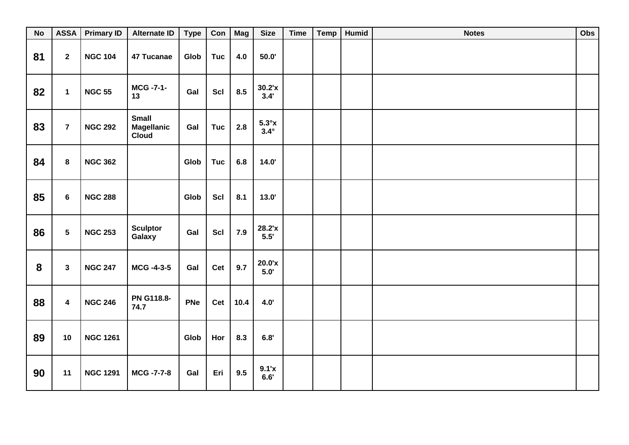| <b>No</b> | ASSA                    | <b>Primary ID</b> | <b>Alternate ID</b>                        | <b>Type</b> | Con        | <b>Mag</b> | <b>Size</b>                  | <b>Time</b> | <b>Temp</b> | <b>Humid</b> | <b>Notes</b> | Obs |
|-----------|-------------------------|-------------------|--------------------------------------------|-------------|------------|------------|------------------------------|-------------|-------------|--------------|--------------|-----|
| 81        | $\mathbf 2$             | <b>NGC 104</b>    | 47 Tucanae                                 | Glob        | <b>Tuc</b> | 4.0        | 50.0'                        |             |             |              |              |     |
| 82        | $\mathbf{1}$            | <b>NGC 55</b>     | <b>MCG -7-1-</b><br>13                     | Gal         | <b>Scl</b> | 8.5        | 30.2'x<br>3.4'               |             |             |              |              |     |
| 83        | $\overline{7}$          | <b>NGC 292</b>    | <b>Small</b><br><b>Magellanic</b><br>Cloud | Gal         | <b>Tuc</b> | 2.8        | $5.3^\circ x$<br>$3.4^\circ$ |             |             |              |              |     |
| 84        | $\bf{8}$                | <b>NGC 362</b>    |                                            | Glob        | <b>Tuc</b> | 6.8        | 14.0'                        |             |             |              |              |     |
| 85        | $6\phantom{1}$          | <b>NGC 288</b>    |                                            | Glob        | Scl        | 8.1        | 13.0'                        |             |             |              |              |     |
| 86        | $5\phantom{.0}$         | <b>NGC 253</b>    | <b>Sculptor</b><br>Galaxy                  | Gal         | <b>Scl</b> | 7.9        | 28.2'x<br>5.5'               |             |             |              |              |     |
| 8         | $\mathbf 3$             | <b>NGC 247</b>    | MCG -4-3-5                                 | Gal         | Cet        | 9.7        | 20.0'x<br>5.0'               |             |             |              |              |     |
| 88        | $\overline{\mathbf{4}}$ | <b>NGC 246</b>    | PN G118.8-<br>74.7                         | <b>PNe</b>  | Cet        | 10.4       | 4.0'                         |             |             |              |              |     |
| 89        | 10                      | <b>NGC 1261</b>   |                                            | Glob        | Hor        | 8.3        | 6.8'                         |             |             |              |              |     |
| 90        | 11                      | <b>NGC 1291</b>   | <b>MCG -7-7-8</b>                          | Gal         | Eri        | 9.5        | 9.1'x<br>6.6'                |             |             |              |              |     |